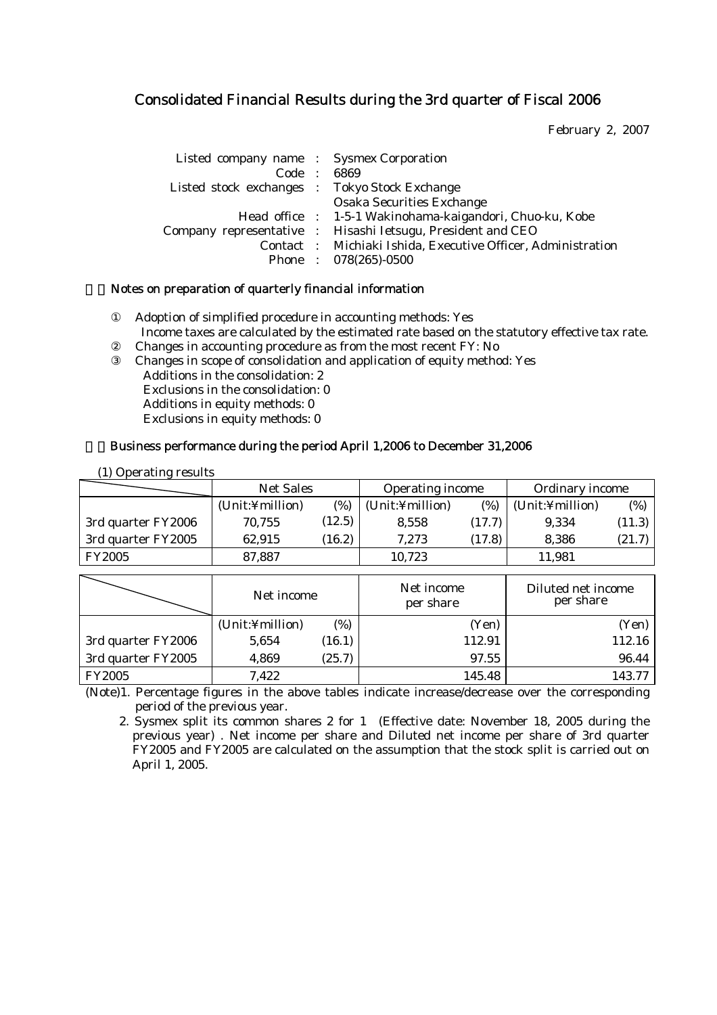# Consolidated Financial Results during the 3rd quarter of Fiscal 2006

February 2, 2007

| Listed company name : Sysmex Corporation      |                                                             |
|-----------------------------------------------|-------------------------------------------------------------|
| Code : 6869                                   |                                                             |
| Listed stock exchanges : Tokyo Stock Exchange |                                                             |
|                                               | <b>Osaka Securities Exchange</b>                            |
|                                               | Head office : 1-5-1 Wakinohama-kaigandori, Chuo-ku, Kobe    |
|                                               | Company representative : Hisashi Ietsugu, President and CEO |
|                                               | Contact: Michiaki Ishida, Executive Officer, Administration |
|                                               | Phone: 078(265)-0500                                        |

# 1. Notes on preparation of quarterly financial information

Adoption of simplified procedure in accounting methods: Yes Income taxes are calculated by the estimated rate based on the statutory effective tax rate. Changes in accounting procedure as from the most recent FY: No Changes in scope of consolidation and application of equity method: Yes Additions in the consolidation: 2 Exclusions in the consolidation: 0 Additions in equity methods: 0 Exclusions in equity methods: 0

# 2.Business performance during the period April 1,2006 to December 31,2006

| (1) Operating results |                        |        |                         |        |                                 |        |
|-----------------------|------------------------|--------|-------------------------|--------|---------------------------------|--------|
|                       | <b>Net Sales</b>       |        | <b>Operating income</b> |        | <b>Ordinary income</b>          |        |
|                       | (%)<br>(Unit:¥million) |        | (Unit:¥million)         | (%)    | (Unit:¥million)                 | (%)    |
| 3rd quarter FY2006    | 70,755                 | (12.5) | 8,558                   | (17.7) | 9,334                           | (11.3) |
| 3rd quarter FY2005    | 62.915                 | (16.2) | 7.273                   | (17.8) | 8,386                           | (21.7) |
| <b>FY2005</b>         | 87,887                 |        | 10,723                  |        | 11,981                          |        |
|                       |                        |        |                         |        |                                 |        |
|                       |                        |        |                         |        |                                 |        |
|                       | Net income             |        | Net income<br>per share |        | Diluted net income<br>per share |        |
|                       | (Unit:¥million)        | (%)    |                         | (Yen)  |                                 | (Yen)  |
| 3rd quarter FY2006    | 5,654                  | (16.1) |                         | 112.91 |                                 | 112.16 |
| 3rd quarter FY2005    | 4,869                  | (25.7) |                         | 97.55  |                                 | 96.44  |

(Note)1. Percentage figures in the above tables indicate increase/decrease over the corresponding period of the previous year.

2. Sysmex split its common shares 2 for 1 (Effective date: November 18, 2005 during the previous year) . Net income per share and Diluted net income per share of 3rd quarter FY2005 and FY2005 are calculated on the assumption that the stock split is carried out on April 1, 2005.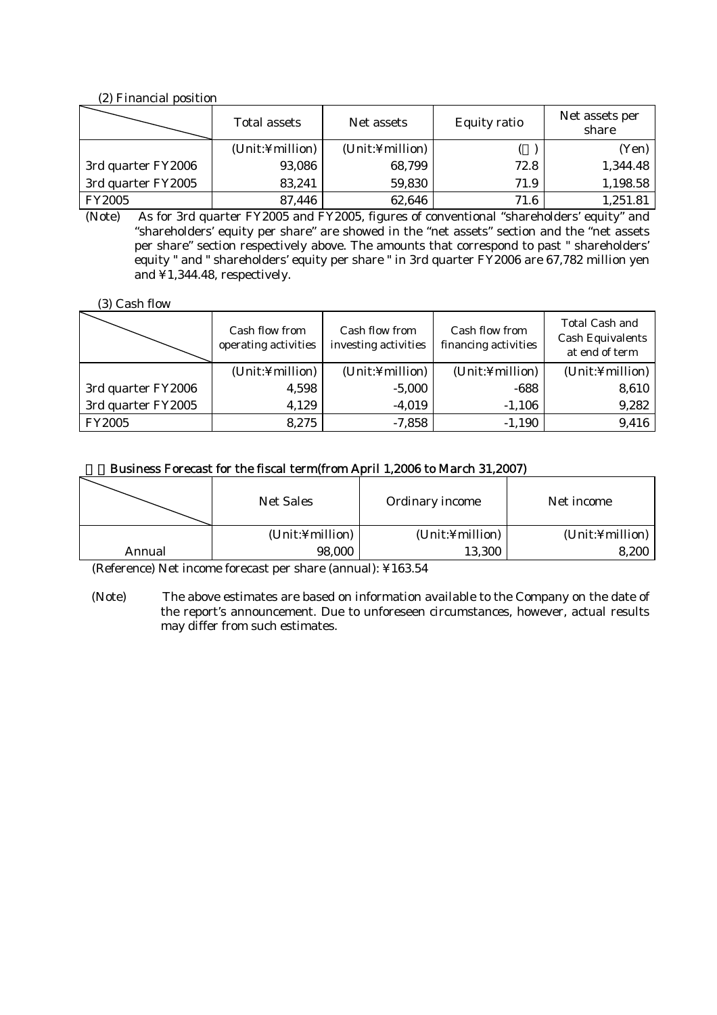### (2) Financial position

|                    | <b>Total assets</b> | Net assets      | <b>Equity ratio</b> | Net assets per<br>share |
|--------------------|---------------------|-----------------|---------------------|-------------------------|
|                    | (Unit:¥million)     | (Unit:¥million) |                     | (Yen)                   |
| 3rd quarter FY2006 | 93,086              | 68,799          | 72.8                | 1,344.48                |
| 3rd quarter FY2005 | 83,241              | 59,830          | 71.9                | 1,198.58                |
| <b>FY2005</b>      | 87,446              | 62,646          | 71.6                | 1,251.81                |

(Note) As for 3rd quarter FY2005 and FY2005, figures of conventional "shareholders' equity" and "shareholders' equity per share" are showed in the "net assets" section and the "net assets per share" section respectively above. The amounts that correspond to past " shareholders' equity " and " shareholders' equity per share " in 3rd quarter FY2006 are 67,782 million yen and ¥1,344.48, respectively.

(3) Cash flow

|                    | <b>Cash flow from</b><br>operating activities | <b>Cash flow from</b><br>investing activities | <b>Cash flow from</b><br>financing activities | <b>Total Cash and</b><br><b>Cash Equivalents</b><br>at end of term |
|--------------------|-----------------------------------------------|-----------------------------------------------|-----------------------------------------------|--------------------------------------------------------------------|
|                    | (Unit:¥million)                               | (Unit:¥million)                               | (Unit:¥million)                               | (Unit:¥million)                                                    |
| 3rd quarter FY2006 | 4,598                                         | $-5,000$                                      | -688                                          | 8,610                                                              |
| 3rd quarter FY2005 | 4,129                                         | $-4,019$                                      | $-1,106$                                      | 9,282                                                              |
| <b>FY2005</b>      | 8,275                                         | $-7,858$                                      | $-1,190$                                      | 9,416                                                              |

# 3.Business Forecast for the fiscal term(from April 1,2006 to March 31,2007)

|        | <b>Net Sales</b> | <b>Ordinary income</b> | Net income      |
|--------|------------------|------------------------|-----------------|
|        | (Unit:¥million)  | (Unit:¥million)        | (Unit:¥million) |
| Annual | 98,000           | 13,300                 | 8,200           |

(Reference) Net income forecast per share (annual): ¥163.54

 (Note) The above estimates are based on information available to the Company on the date of the report's announcement. Due to unforeseen circumstances, however, actual results may differ from such estimates.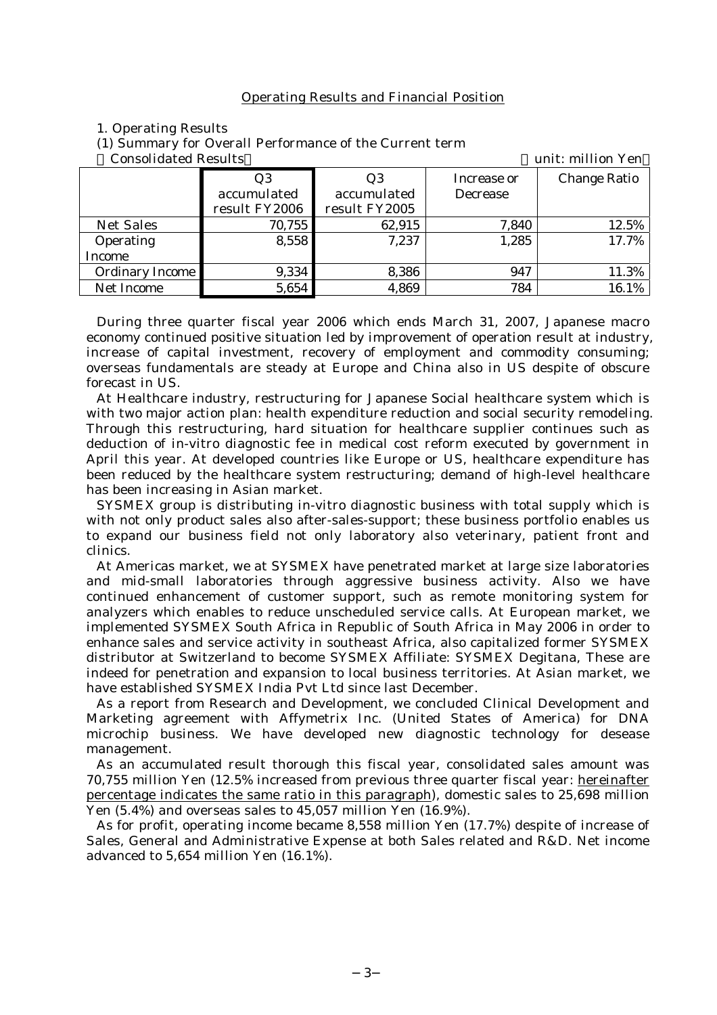#### Operating Results and Financial Position

#### 1. Operating Results

(1) Summary for Overall Performance of the Current term

Consolidated Results unit: million Yen

| comoviruuttu iveburto<br><u>umit, million i ch</u> |               |                 |                     |  |  |
|----------------------------------------------------|---------------|-----------------|---------------------|--|--|
| Q3                                                 | Q3            | Increase or     | <b>Change Ratio</b> |  |  |
| accumulated                                        | accumulated   | <b>Decrease</b> |                     |  |  |
| result FY2006                                      | result FY2005 |                 |                     |  |  |
| 70,755                                             | 62,915        | 7,840           | 12.5%               |  |  |
| 8,558                                              | 7,237         | 1,285           | 17.7%               |  |  |
|                                                    |               |                 |                     |  |  |
| 9,334                                              | 8,386         | 947             | 11.3%               |  |  |
| 5,654                                              | 4,869         | 784             | 16.1%               |  |  |
|                                                    |               |                 |                     |  |  |

During three quarter fiscal year 2006 which ends March 31, 2007, Japanese macro economy continued positive situation led by improvement of operation result at industry, increase of capital investment, recovery of employment and commodity consuming; overseas fundamentals are steady at Europe and China also in US despite of obscure forecast in US.

At Healthcare industry, restructuring for Japanese Social healthcare system which is with two major action plan: health expenditure reduction and social security remodeling. Through this restructuring, hard situation for healthcare supplier continues such as deduction of in-vitro diagnostic fee in medical cost reform executed by government in April this year. At developed countries like Europe or US, healthcare expenditure has been reduced by the healthcare system restructuring; demand of high-level healthcare has been increasing in Asian market.

SYSMEX group is distributing in-vitro diagnostic business with total supply which is with not only product sales also after-sales-support; these business portfolio enables us to expand our business field not only laboratory also veterinary, patient front and clinics.

At Americas market, we at SYSMEX have penetrated market at large size laboratories and mid-small laboratories through aggressive business activity. Also we have continued enhancement of customer support, such as remote monitoring system for analyzers which enables to reduce unscheduled service calls. At European market, we implemented SYSMEX South Africa in Republic of South Africa in May 2006 in order to enhance sales and service activity in southeast Africa, also capitalized former SYSMEX distributor at Switzerland to become SYSMEX Affiliate: SYSMEX Degitana, These are indeed for penetration and expansion to local business territories. At Asian market, we have established SYSMEX India Pvt Ltd since last December.

As a report from Research and Development, we concluded Clinical Development and Marketing agreement with Affymetrix Inc. (United States of America) for DNA microchip business. We have developed new diagnostic technology for desease management.

As an accumulated result thorough this fiscal year, consolidated sales amount was 70,755 million Yen (12.5% increased from previous three quarter fiscal year: hereinafter percentage indicates the same ratio in this paragraph), domestic sales to 25,698 million Yen (5.4%) and overseas sales to 45,057 million Yen (16.9%).

As for profit, operating income became 8,558 million Yen (17.7%) despite of increase of Sales, General and Administrative Expense at both Sales related and R&D. Net income advanced to 5,654 million Yen (16.1%).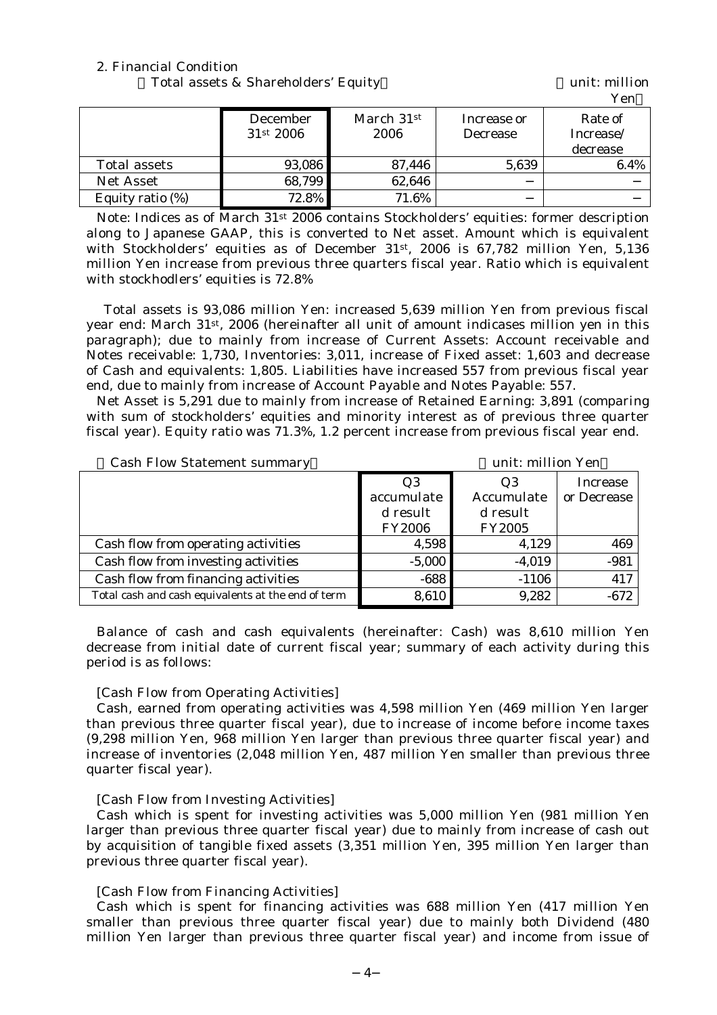### 2. Financial Condition

Total assets & Shareholders' Equity Total assets & Shareholders' Equity

|                     |                              |                    |                                | 1 V.H                            |
|---------------------|------------------------------|--------------------|--------------------------------|----------------------------------|
|                     | <b>December</b><br>31st 2006 | March 31st<br>2006 | Increase or<br><b>Decrease</b> | Rate of<br>Increase/<br>decrease |
| <b>Total assets</b> | 93,086                       | 87,446             | 5,639                          | 6.4%                             |
| <b>Net Asset</b>    | 68,799                       | 62,646             |                                |                                  |
| Equity ratio (%)    | 72.8%                        | 71.6%              |                                |                                  |

Note: Indices as of March 31st 2006 contains Stockholders' equities: former description along to Japanese GAAP, this is converted to Net asset. Amount which is equivalent with Stockholders' equities as of December 31st, 2006 is 67,782 million Yen, 5,136 million Yen increase from previous three quarters fiscal year. Ratio which is equivalent with stockhodlers' equities is 72.8%

 Total assets is 93,086 million Yen: increased 5,639 million Yen from previous fiscal year end: March 31st, 2006 (hereinafter all unit of amount indicases million yen in this paragraph); due to mainly from increase of Current Assets: Account receivable and Notes receivable: 1,730, Inventories: 3,011, increase of Fixed asset: 1,603 and decrease of Cash and equivalents: 1,805. Liabilities have increased 557 from previous fiscal year end, due to mainly from increase of Account Payable and Notes Payable: 557.

Net Asset is 5,291 due to mainly from increase of Retained Earning: 3,891 (comparing with sum of stockholders' equities and minority interest as of previous three quarter fiscal year). Equity ratio was 71.3%, 1.2 percent increase from previous fiscal year end.

| unit: million Yen<br><b>Cash Flow Statement summary</b> |               |                 |  |  |
|---------------------------------------------------------|---------------|-----------------|--|--|
| Q3                                                      | Q3            | <b>Increase</b> |  |  |
| accumulate                                              | Accumulate    | or Decrease     |  |  |
| d result                                                | d result      |                 |  |  |
| <b>FY2006</b>                                           | <b>FY2005</b> |                 |  |  |
| 4,598                                                   | 4,129         | 469             |  |  |
| $-5,000$                                                | $-4,019$      | $-981$          |  |  |
| $-688$                                                  | $-1106$       | 417             |  |  |
| 8,610                                                   | 9,282         | $-672$          |  |  |
|                                                         |               |                 |  |  |

Balance of cash and cash equivalents (hereinafter: Cash) was 8,610 million Yen decrease from initial date of current fiscal year; summary of each activity during this period is as follows:

### [Cash Flow from Operating Activities]

Cash, earned from operating activities was 4,598 million Yen (469 million Yen larger than previous three quarter fiscal year), due to increase of income before income taxes (9,298 million Yen, 968 million Yen larger than previous three quarter fiscal year) and increase of inventories (2,048 million Yen, 487 million Yen smaller than previous three quarter fiscal year).

### [Cash Flow from Investing Activities]

Cash which is spent for investing activities was 5,000 million Yen (981 million Yen larger than previous three quarter fiscal year) due to mainly from increase of cash out by acquisition of tangible fixed assets (3,351 million Yen, 395 million Yen larger than previous three quarter fiscal year).

# [Cash Flow from Financing Activities]

Cash which is spent for financing activities was 688 million Yen (417 million Yen smaller than previous three quarter fiscal year) due to mainly both Dividend (480 million Yen larger than previous three quarter fiscal year) and income from issue of